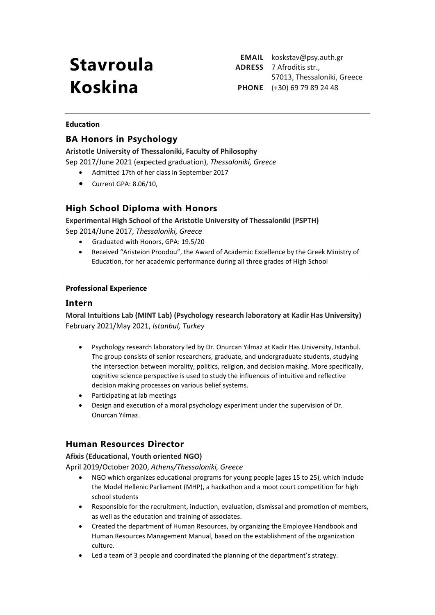# **Stavroula Koskina**

**EMAIL** koskstav@psy.auth.gr **ADRESS** 7 Afroditis str., 57013, Thessaloniki, Greece **PHONE** (+30) 69 79 89 24 48

#### **Education**

## **BA Honors in Psychology**

**Aristotle University of Thessaloniki, Faculty of Philosophy** Sep 2017/June 2021 (expected graduation), *Thessaloniki, Greece*

- Admitted 17th of her class in September 2017
- Current GPA: 8.06/10,

# **High School Diploma with Honors**

**Experimental High School of the Aristotle University of Thessaloniki (PSPTH)** Sep 2014/June 2017, *Thessaloniki, Greece*

- Graduated with Honors, GPA: 19.5/20
- Received "Aristeion Proodou", the Award of Academic Excellence by the Greek Ministry of Education, for her academic performance during all three grades of High School

#### **Professional Experience**

#### **Intern**

**Moral Intuitions Lab (MINT Lab) (Psychology research laboratory at Kadir Has University)** February 2021/May 2021, *Istanbul, Turkey*

- Psychology research laboratory led by Dr. Onurcan Yılmaz at Kadir Has University, Istanbul. The group consists of senior researchers, graduate, and undergraduate students, studying the intersection between morality, politics, religion, and decision making. More specifically, cognitive science perspective is used to study the influences of intuitive and reflective decision making processes on various belief systems.
- Participating at lab meetings
- Design and execution of a moral psychology experiment under the supervision of Dr. Onurcan Yılmaz.

## **Human Resources Director**

**Afixis (Educational, Youth oriented NGO)**

April 2019/October 2020, *Athens/Thessaloniki, Greece*

- NGO which organizes educational programs for young people (ages 15 to 25), which include the Model Hellenic Parliament (MHP), a hackathon and a moot court competition for high school students
- Responsible for the recruitment, induction, evaluation, dismissal and promotion of members, as well as the education and training of associates.
- Created the department of Human Resources, by organizing the Employee Handbook and Human Resources Management Manual, based on the establishment of the organization culture.
- Led a team of 3 people and coordinated the planning of the department's strategy.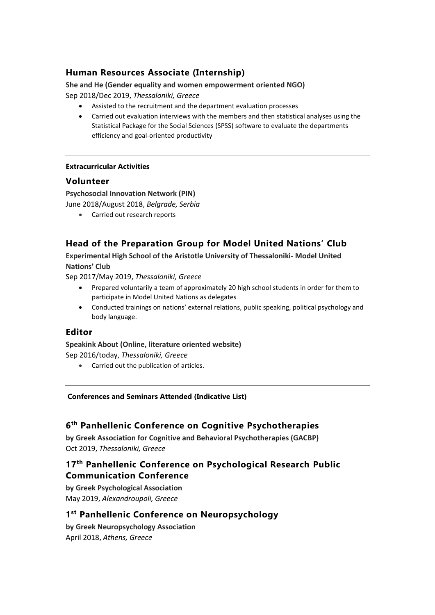# **Human Resources Associate (Internship)**

#### **She and He (Gender equality and women empowerment oriented NGO)** Sep 2018/Dec 2019, *Thessaloniki, Greece*

- Assisted to the recruitment and the department evaluation processes
- Carried out evaluation interviews with the members and then statistical analyses using the Statistical Package for the Social Sciences (SPSS) software to evaluate the departments efficiency and goal-oriented productivity

#### **Extracurricular Activities**

### **Volunteer**

**Psychosocial Innovation Network (PIN)**

June 2018/August 2018, *Belgrade, Serbia* 

• Carried out research reports

# **Head of the Preparation Group for Model United Nations' Club**

**Experimental High School of the Aristotle University of Thessaloniki- Model United Nations' Club**

Sep 2017/May 2019, *Thessaloniki, Greece*

- Prepared voluntarily a team of approximately 20 high school students in order for them to participate in Model United Nations as delegates
- Conducted trainings on nations' external relations, public speaking, political psychology and body language.

#### **Editor**

# **Speakink About (Online, literature oriented website)**

Sep 2016/today, *Thessaloniki, Greece*

• Carried out the publication of articles.

#### **Conferences and Seminars Attended (Indicative List)**

## **6 th Panhellenic Conference on Cognitive Psychotherapies**

**by Greek Association for Cognitive and Behavioral Psychotherapies (GACBP)** Oct 2019, *Thessaloniki, Greece*

# **17 th Panhellenic Conference on Psychological Research Public Communication Conference**

**by Greek Psychological Association**  May 2019, *Alexandroupoli, Greece*

## **1 st Panhellenic Conference on Neuropsychology**

**by Greek Neuropsychology Association** April 2018, *Athens, Greece*